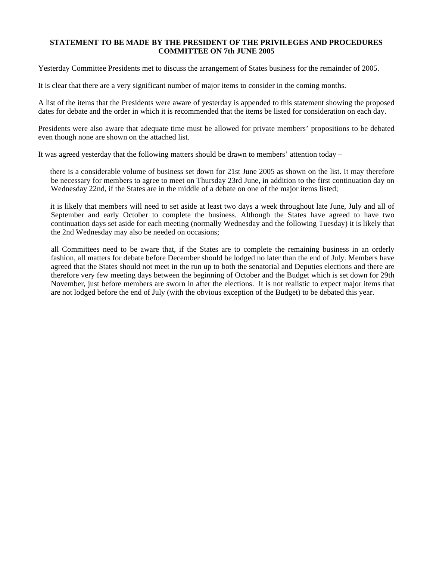## **STATEMENT TO BE MADE BY THE PRESIDENT OF THE PRIVILEGES AND PROCEDURES COMMITTEE ON 7th JUNE 2005**

Yesterday Committee Presidents met to discuss the arrangement of States business for the remainder of 2005.

It is clear that there are a very significant number of major items to consider in the coming months.

A list of the items that the Presidents were aware of yesterday is appended to this statement showing the proposed dates for debate and the order in which it is recommended that the items be listed for consideration on each day.

Presidents were also aware that adequate time must be allowed for private members' propositions to be debated even though none are shown on the attached list.

It was agreed yesterday that the following matters should be drawn to members' attention today –

 there is a considerable volume of business set down for 21st June 2005 as shown on the list. It may therefore be necessary for members to agree to meet on Thursday 23rd June, in addition to the first continuation day on Wednesday 22nd, if the States are in the middle of a debate on one of the major items listed;

 it is likely that members will need to set aside at least two days a week throughout late June, July and all of September and early October to complete the business. Although the States have agreed to have two continuation days set aside for each meeting (normally Wednesday and the following Tuesday) it is likely that the 2nd Wednesday may also be needed on occasions;

 all Committees need to be aware that, if the States are to complete the remaining business in an orderly fashion, all matters for debate before December should be lodged no later than the end of July. Members have agreed that the States should not meet in the run up to both the senatorial and Deputies elections and there are therefore very few meeting days between the beginning of October and the Budget which is set down for 29th November, just before members are sworn in after the elections. It is not realistic to expect major items that are not lodged before the end of July (with the obvious exception of the Budget) to be debated this year.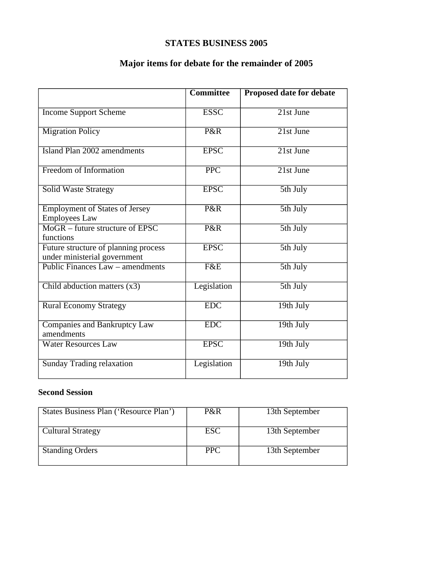## **STATES BUSINESS 2005**

## **Major items for debate for the remainder of 2005**

|                                                                      | <b>Committee</b> | Proposed date for debate      |
|----------------------------------------------------------------------|------------------|-------------------------------|
| <b>Income Support Scheme</b>                                         | <b>ESSC</b>      | $21st$ June                   |
| <b>Migration Policy</b>                                              | P&R              | $\overline{21st\text{ June}}$ |
| Island Plan 2002 amendments                                          | <b>EPSC</b>      | 21st June                     |
| <b>Freedom of Information</b>                                        | <b>PPC</b>       | $21st$ June                   |
| <b>Solid Waste Strategy</b>                                          | <b>EPSC</b>      | 5th July                      |
| <b>Employment of States of Jersey</b><br><b>Employees Law</b>        | P&R              | 5th July                      |
| $MogR - future structure of EPSC$<br>functions                       | P&R              | 5th July                      |
| Future structure of planning process<br>under ministerial government | <b>EPSC</b>      | 5th July                      |
| Public Finances Law – amendments                                     | F&E              | 5th July                      |
| Child abduction matters $(x3)$                                       | Legislation      | 5th July                      |
| <b>Rural Economy Strategy</b>                                        | <b>EDC</b>       | 19th July                     |
| <b>Companies and Bankruptcy Law</b><br>amendments                    | EDC              | 19th July                     |
| <b>Water Resources Law</b>                                           | <b>EPSC</b>      | 19th July                     |
| <b>Sunday Trading relaxation</b>                                     | Legislation      | $19th$ July                   |

## **Second Session**

| States Business Plan ('Resource Plan') | P&R        | 13th September |
|----------------------------------------|------------|----------------|
| <b>Cultural Strategy</b>               | <b>ESC</b> | 13th September |
| <b>Standing Orders</b>                 | <b>PPC</b> | 13th September |